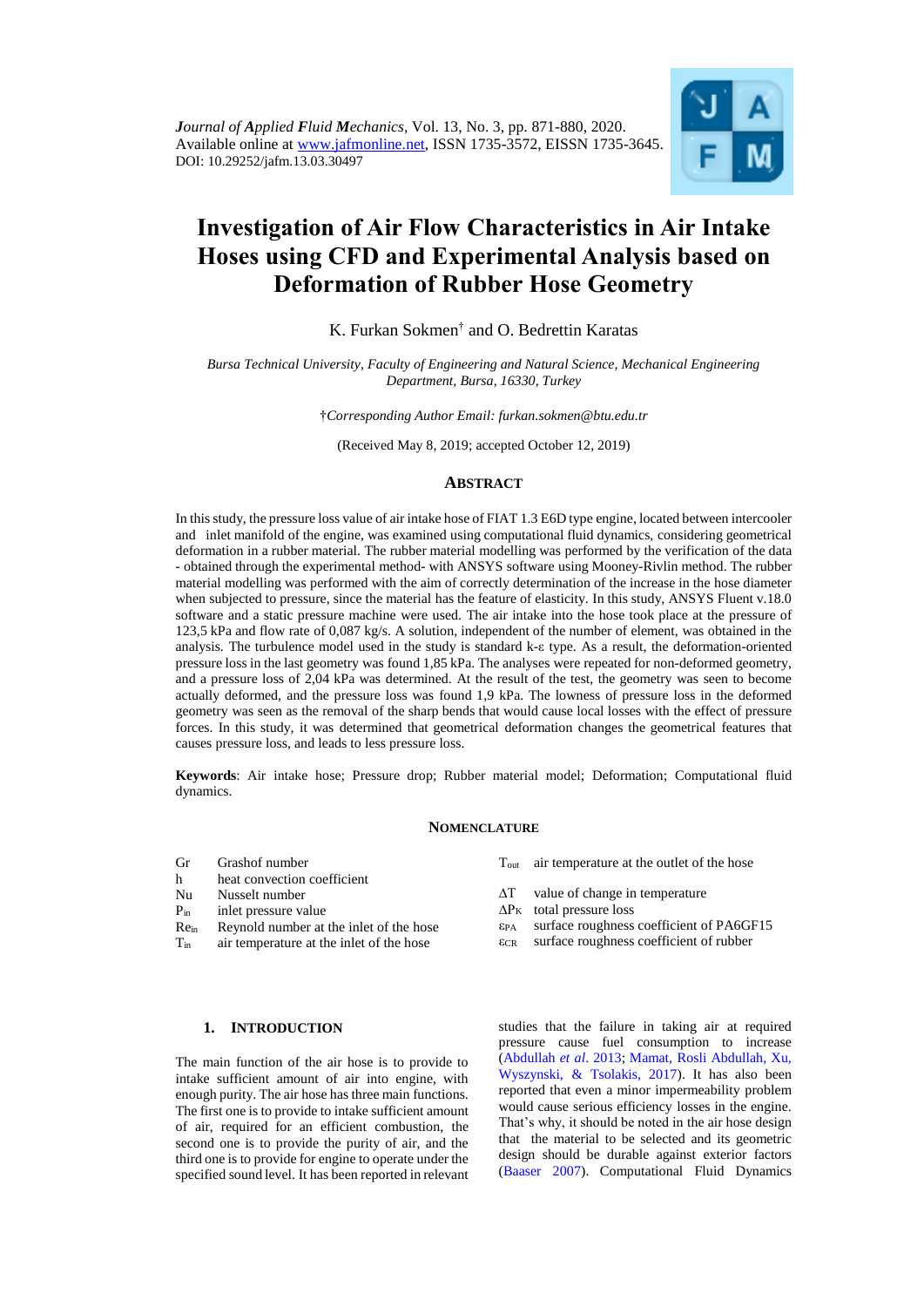

# **Investigation of Air Flow Characteristics in Air Intake Hoses using CFD and Experimental Analysis based on Deformation of Rubber Hose Geometry**

# K. Furkan Sokmen† and O. Bedrettin Karatas

*Bursa Technical University, Faculty of Engineering and Natural Science, Mechanical Engineering Department, Bursa, 16330, Turkey*

### †*Corresponding Author Email[: furkan.sokmen@btu.edu.tr](mailto:furkan.sokmen@btu.edu.tr)*

(Received May 8, 2019; accepted October 12, 2019)

# **ABSTRACT**

In this study, the pressure loss value of air intake hose of FIAT 1.3 E6D type engine, located between intercooler and inlet manifold of the engine, was examined using computational fluid dynamics, considering geometrical deformation in a rubber material. The rubber material modelling was performed by the verification of the data - obtained through the experimental method- with ANSYS software using Mooney-Rivlin method. The rubber material modelling was performed with the aim of correctly determination of the increase in the hose diameter when subjected to pressure, since the material has the feature of elasticity. In this study, ANSYS Fluent v.18.0 software and a static pressure machine were used. The air intake into the hose took place at the pressure of 123,5 kPa and flow rate of 0,087 kg/s. A solution, independent of the number of element, was obtained in the analysis. The turbulence model used in the study is standard k-ε type. As a result, the deformation-oriented pressure loss in the last geometry was found 1,85 kPa. The analyses were repeated for non-deformed geometry, and a pressure loss of 2,04 kPa was determined. At the result of the test, the geometry was seen to become actually deformed, and the pressure loss was found 1,9 kPa. The lowness of pressure loss in the deformed geometry was seen as the removal of the sharp bends that would cause local losses with the effect of pressure forces. In this study, it was determined that geometrical deformation changes the geometrical features that causes pressure loss, and leads to less pressure loss.

**Keywords**: Air intake hose; Pressure drop; Rubber material model; Deformation; Computational fluid dynamics.

# **NOMENCLATURE**

- Gr Grashof number
- h heat convection coefficient
- Nu Nusselt number
- Pin inlet pressure value
- Rein Reynold number at the inlet of the hose
- Tin air temperature at the inlet of the hose

# **1. INTRODUCTION**

The main function of the air hose is to provide to intake sufficient amount of air into engine, with enough purity. The air hose has three main functions. The first one is to provide to intake sufficient amount of air, required for an efficient combustion, the second one is to provide the purity of air, and the third one is to provide for engine to operate under the specified sound level. It has been reported in relevant Tout air temperature at the outlet of the hose

- ∆T value of change in temperature
- ∆P<sup>K</sup> total pressure loss
- εPA surface roughness coefficient of PA6GF15
- εCR surface roughness coefficient of rubber

studies that the failure in taking air at required pressure cause fuel consumption to increase [\(Abdullah](#page-8-0) *et al*. 2013; [Mamat, Rosli Abdullah, Xu,](#page-8-1)  [Wyszynski, & Tsolakis, 2017\)](#page-8-1). It has also been reported that even a minor impermeability problem would cause serious efficiency losses in the engine. That's why, it should be noted in the air hose design that the material to be selected and its geometric design should be durable against exterior factors [\(Baaser](#page-8-2) 2007). Computational Fluid Dynamics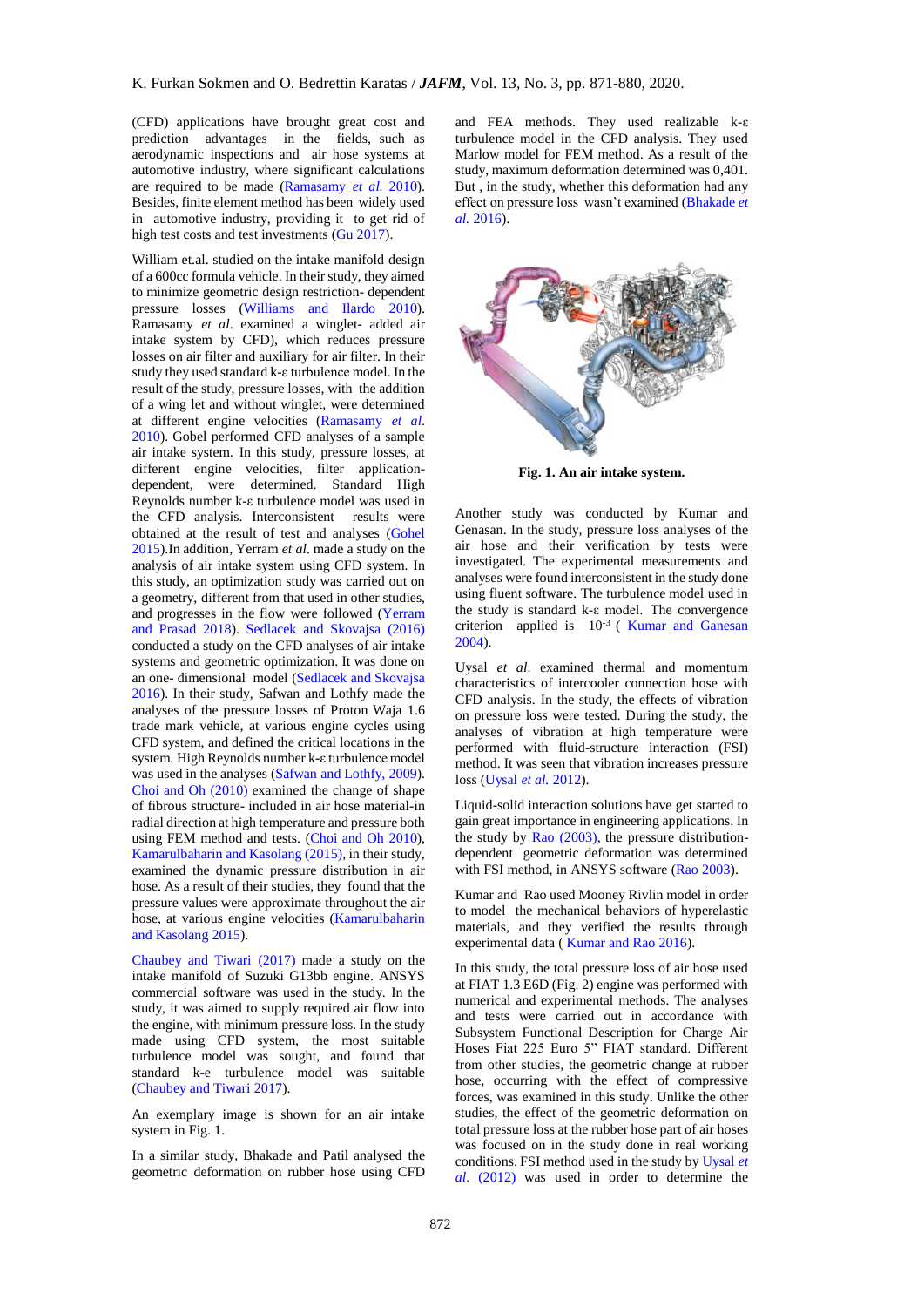(CFD) applications have brought great cost and prediction advantages in the fields, such as aerodynamic inspections and air hose systems at automotive industry, where significant calculations are required to be made [\(Ramasamy](#page-8-3) *et al.* 2010). Besides, finite element method has been widely used in automotive industry, providing it to get rid of high test costs and test investments (Gu [2017\)](#page-8-4).

William et.al. studied on the intake manifold design of a 600cc formula vehicle. In their study, they aimed to minimize geometric design restriction- dependent pressure losses [\(Williams and Ilardo](#page-9-0) 2010). Ramasamy *et al*. examined a winglet- added air intake system by CFD), which reduces pressure losses on air filter and auxiliary for air filter. In their study they used standard k-ε turbulence model. In the result of the study, pressure losses, with the addition of a wing let and without winglet, were determined at different engine velocities [\(Ramasamy](#page-8-3) *et al*. [2010\)](#page-8-3). Gobel performed CFD analyses of a sample air intake system. In this study, pressure losses, at different engine velocities, filter applicationdependent, were determined. Standard High Reynolds number k-ε turbulence model was used in the CFD analysis. Interconsistent results were obtained at the result of test and analyses [\(Gohel](#page-8-5) [2015\)](#page-8-5).In addition, Yerram *et al*. made a study on the analysis of air intake system using CFD system. In this study, an optimization study was carried out on a geometry, different from that used in other studies, and progresses in the flow were followed (Yerram and Prasad 2018). [Sedlacek and Skovajsa \(2016\)](#page-9-1) conducted a study on the CFD analyses of air intake systems and geometric optimization. It was done on an one- dimensional model [\(Sedlacek and](#page-9-1) Skovajsa [2016\)](#page-9-1). In their study, Safwan and Lothfy made the analyses of the pressure losses of Proton Waja 1.6 trade mark vehicle, at various engine cycles using CFD system, and defined the critical locations in the system. High Reynolds number k-ε turbulence model was used in the analyses [\(Safwan and Lothfy, 2009\)](#page-8-6). [Choi and Oh](#page-8-7) (2010) examined the change of shape of fibrous structure- included in air hose material-in radial direction at high temperature and pressure both using FEM method and tests. [\(Choi and Oh](#page-8-7) 2010), [Kamarulbaharin and Kasolang](#page-8-8) (2015), in their study, examined the dynamic pressure distribution in air hose. As a result of their studies, they found that the pressure values were approximate throughout the air hose, at various engine velocities [\(Kamarulbaharin](#page-8-8)  [and Kasolang](#page-8-8) 2015).

Chaubey and [Tiwari \(2017\)](#page-8-9) made a study on the intake manifold of Suzuki G13bb engine. ANSYS commercial software was used in the study. In the study, it was aimed to supply required air flow into the engine, with minimum pressure loss. In the study made using CFD system, the most suitable turbulence model was sought, and found that standard k-e turbulence model was suitable [\(Chaubey and Tiwari](#page-8-9) 2017).

An exemplary image is shown for an air intake system in Fig. 1.

In a similar study, Bhakade and Patil analysed the geometric deformation on rubber hose using CFD

and FEA methods. They used realizable k-ε turbulence model in the CFD analysis. They used Marlow model for FEM method. As a result of the study, maximum deformation determined was 0,401. But , in the study, whether this deformation had any effect on pressure loss wasn't examine[d \(Bhakade](#page-8-10) *et al.* [2016\)](#page-8-10).



**Fig. 1. An air intake system.**

Another study was conducted by Kumar and Genasan. In the study, pressure loss analyses of the air hose and their verification by tests were investigated. The experimental measurements and analyses were found interconsistent in the study done using fluent software. The turbulence model used in the study is standard k-ε model. The convergence criterion applied is  $10^{-3}$  (Kumar and Ganesan [2004\)](#page-8-11).

Uysal *et al*. examined thermal and momentum characteristics of intercooler connection hose with CFD analysis. In the study, the effects of vibration on pressure loss were tested. During the study, the analyses of vibration at high temperature were performed with fluid-structure interaction (FSI) method. It was seen that vibration increases pressure loss [\(Uysal](#page-9-2) *et al.* 2012).

Liquid-solid interaction solutions have get started to gain great importance in engineering applications. In the study by [Rao \(2003\),](#page-8-12) the pressure distributiondependent geometric deformation was determined with FSI method, in ANSYS software (Rao [2003\)](#page-8-12).

Kumar and Rao used Mooney Rivlin model in order to model the mechanical behaviors of hyperelastic materials, and they verified the results through experimental data ( [Kumar and Rao](#page-8-13) 2016).

In this study, the total pressure loss of air hose used at FIAT 1.3 E6D (Fig. 2) engine was performed with numerical and experimental methods. The analyses and tests were carried out in accordance with Subsystem Functional Description for Charge Air Hoses Fiat 225 Euro 5" FIAT standard. Different from other studies, the geometric change at rubber hose, occurring with the effect of compressive forces, was examined in this study. Unlike the other studies, the effect of the geometric deformation on total pressure loss at the rubber hose part of air hoses was focused on in the study done in real working conditions. FSI method used in the study b[y Uysal](#page-9-2) *et al*. [\(2012\)](#page-9-2) was used in order to determine the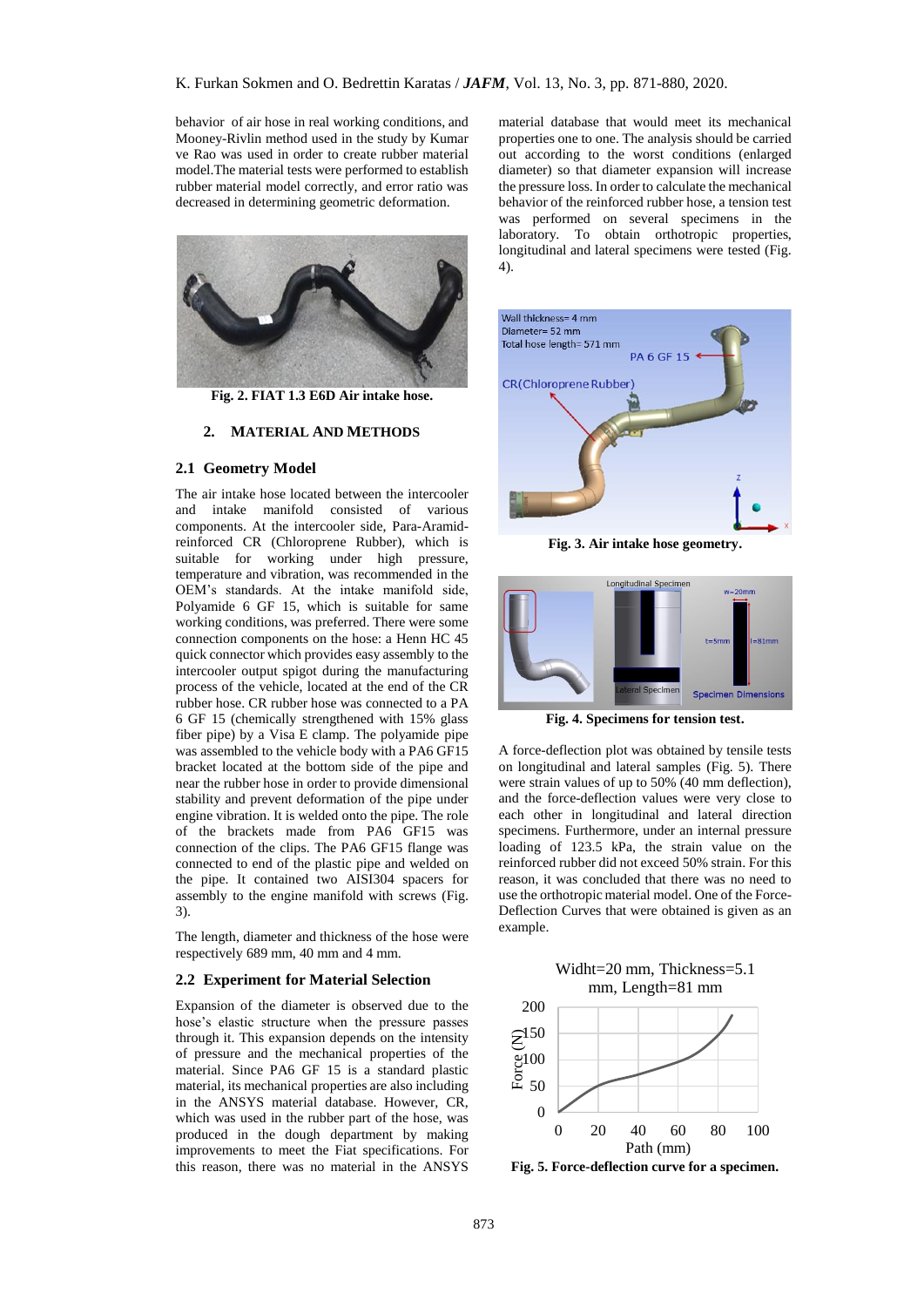behavior of air hose in real working conditions, and Mooney-Rivlin method used in the study by Kumar ve Rao was used in order to create rubber material model.The material tests were performed to establish rubber material model correctly, and error ratio was decreased in determining geometric deformation.



**Fig. 2. FIAT 1.3 E6D Air intake hose.**

# **2. MATERIAL AND METHODS**

#### **2.1 Geometry Model**

The air intake hose located between the intercooler and intake manifold consisted of various components. At the intercooler side, Para-Aramidreinforced CR (Chloroprene Rubber), which is suitable for working under high pressure, temperature and vibration, was recommended in the OEM's standards. At the intake manifold side, Polyamide 6 GF 15, which is suitable for same working conditions, was preferred. There were some connection components on the hose: a Henn HC 45 quick connector which provides easy assembly to the intercooler output spigot during the manufacturing process of the vehicle, located at the end of the CR rubber hose. CR rubber hose was connected to a PA 6 GF 15 (chemically strengthened with 15% glass fiber pipe) by a Visa E clamp. The polyamide pipe was assembled to the vehicle body with a PA6 GF15 bracket located at the bottom side of the pipe and near the rubber hose in order to provide dimensional stability and prevent deformation of the pipe under engine vibration. It is welded onto the pipe. The role of the brackets made from PA6 GF15 was connection of the clips. The PA6 GF15 flange was connected to end of the plastic pipe and welded on the pipe. It contained two AISI304 spacers for assembly to the engine manifold with screws (Fig. 3).

The length, diameter and thickness of the hose were respectively 689 mm, 40 mm and 4 mm.

#### **2.2 Experiment for Material Selection**

Expansion of the diameter is observed due to the hose's elastic structure when the pressure passes through it. This expansion depends on the intensity of pressure and the mechanical properties of the material. Since PA6 GF 15 is a standard plastic material, its mechanical properties are also including in the ANSYS material database. However, CR, which was used in the rubber part of the hose, was produced in the dough department by making improvements to meet the Fiat specifications. For this reason, there was no material in the ANSYS

material database that would meet its mechanical properties one to one. The analysis should be carried out according to the worst conditions (enlarged diameter) so that diameter expansion will increase the pressure loss. In order to calculate the mechanical behavior of the reinforced rubber hose, a tension test was performed on several specimens in the laboratory. To obtain orthotropic properties, longitudinal and lateral specimens were tested (Fig. 4).



**Fig. 3. Air intake hose geometry.**



**Fig. 4. Specimens for tension test.**

A force-deflection plot was obtained by tensile tests on longitudinal and lateral samples (Fig. 5). There were strain values of up to 50% (40 mm deflection), and the force-deflection values were very close to each other in longitudinal and lateral direction specimens. Furthermore, under an internal pressure loading of 123.5 kPa, the strain value on the reinforced rubber did not exceed 50% strain. For this reason, it was concluded that there was no need to use the orthotropic material model. One of the Force-Deflection Curves that were obtained is given as an example.





**Fig. 5. Force-deflection curve for a specimen.**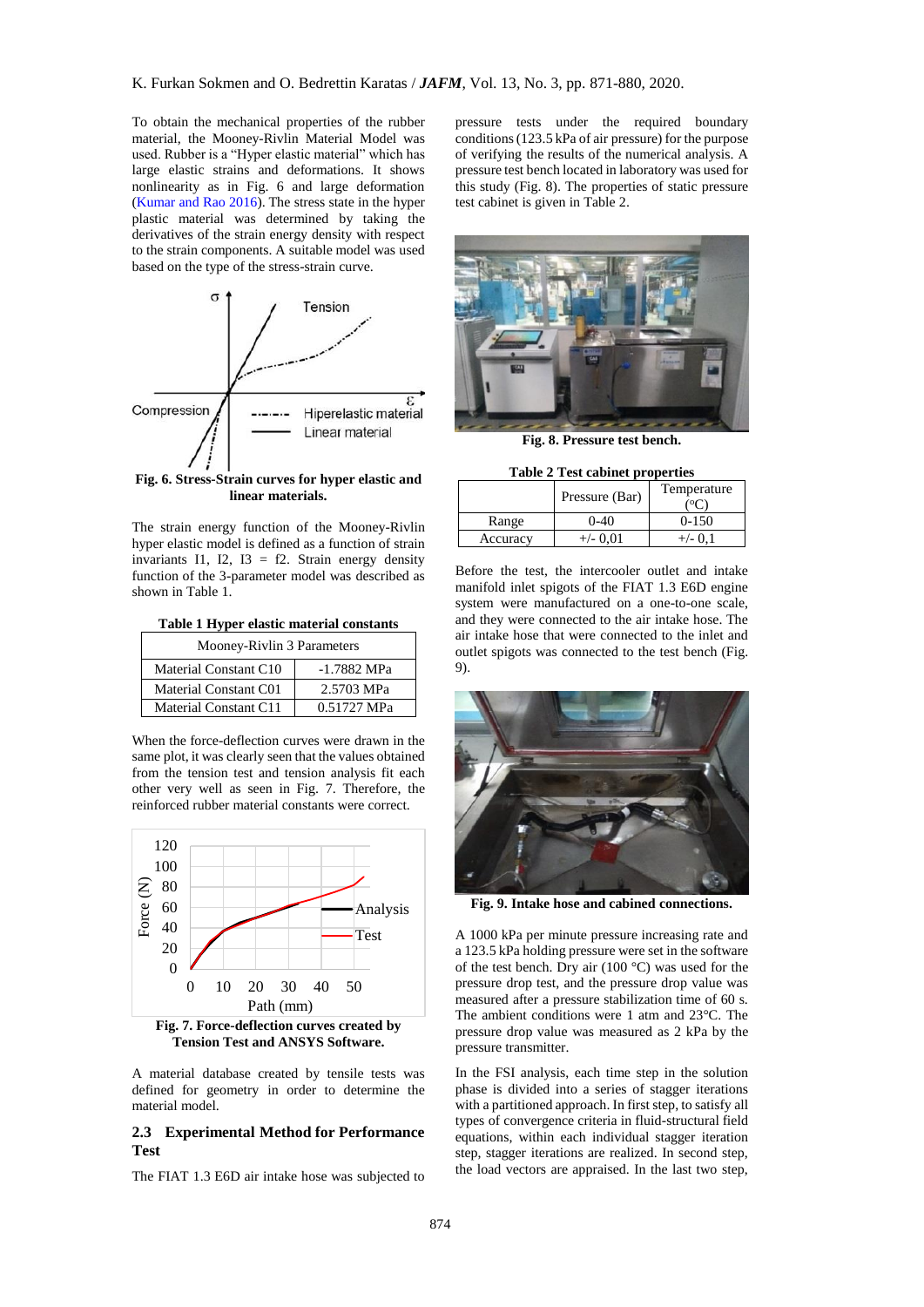To obtain the mechanical properties of the rubber material, the Mooney-Rivlin Material Model was used. Rubber is a "Hyper elastic material" which has large elastic strains and deformations. It shows nonlinearity as in Fig. 6 and large deformation [\(Kumar and](#page-8-13) Rao 2016). The stress state in the hyper plastic material was determined by taking the derivatives of the strain energy density with respect to the strain components. A suitable model was used based on the type of the stress-strain curve.



**Fig. 6. Stress-Strain curves for hyper elastic and linear materials.**

The strain energy function of the Mooney-Rivlin hyper elastic model is defined as a function of strain invariants I1, I2, I3 =  $f2$ . Strain energy density function of the 3-parameter model was described as shown in Table 1.

|  |  |  |  | Table 1 Hyper elastic material constants |
|--|--|--|--|------------------------------------------|
|--|--|--|--|------------------------------------------|

| Mooney-Rivlin 3 Parameters |             |  |  |  |
|----------------------------|-------------|--|--|--|
| Material Constant C10      | -1.7882 MPa |  |  |  |
| Material Constant C01      | 2.5703 MPa  |  |  |  |
| Material Constant C11      | 0.51727 MPa |  |  |  |

When the force-deflection curves were drawn in the same plot, it was clearly seen that the values obtained from the tension test and tension analysis fit each other very well as seen in Fig. 7. Therefore, the reinforced rubber material constants were correct.



**Tension Test and ANSYS Software.**

A material database created by tensile tests was defined for geometry in order to determine the material model.

# **2.3 Experimental Method for Performance Test**

The FIAT 1.3 E6D air intake hose was subjected to

pressure tests under the required boundary conditions (123.5 kPa of air pressure) for the purpose of verifying the results of the numerical analysis. A pressure test bench located in laboratory was used for this study (Fig. 8). The properties of static pressure test cabinet is given in Table 2.



**Table 2 Test cabinet properties**

|          | Pressure (Bar) | Temperature<br>ശ |
|----------|----------------|------------------|
| Range    | $0 - 40$       | $0-150$          |
| Accuracv | $+/- 0.01$     | $+/-$ 0.         |

Before the test, the intercooler outlet and intake manifold inlet spigots of the FIAT 1.3 E6D engine system were manufactured on a one-to-one scale, and they were connected to the air intake hose. The air intake hose that were connected to the inlet and outlet spigots was connected to the test bench (Fig. 9).



**Fig. 9. Intake hose and cabined connections.**

A 1000 kPa per minute pressure increasing rate and a 123.5 kPa holding pressure were set in the software of the test bench. Dry air (100  $^{\circ}$ C) was used for the pressure drop test, and the pressure drop value was measured after a pressure stabilization time of 60 s. The ambient conditions were 1 atm and 23°C. The pressure drop value was measured as 2 kPa by the pressure transmitter.

In the FSI analysis, each time step in the solution phase is divided into a series of stagger iterations with a partitioned approach. In first step, to satisfy all types of convergence criteria in fluid-structural field equations, within each individual stagger iteration step, stagger iterations are realized. In second step, the load vectors are appraised. In the last two step,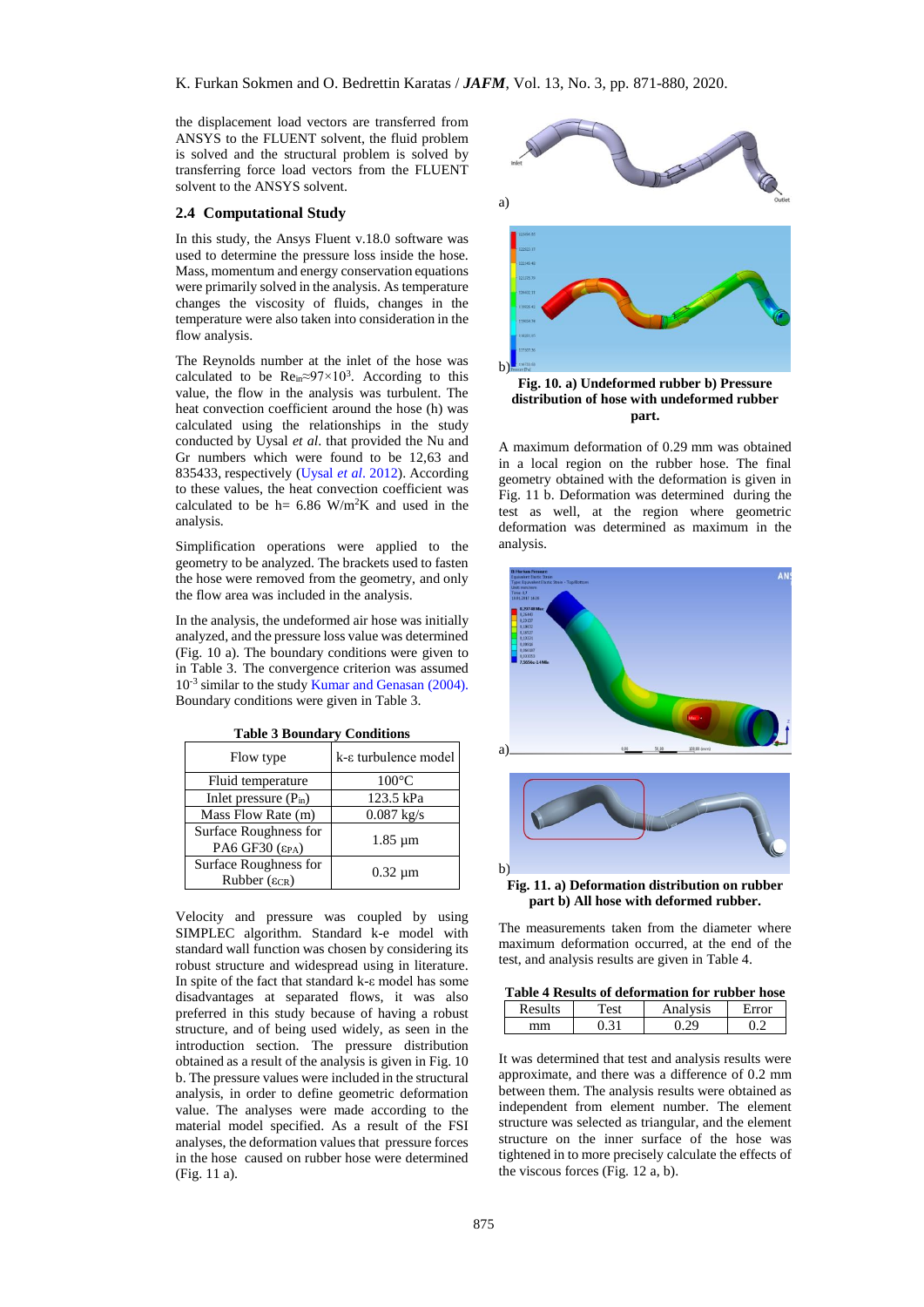the displacement load vectors are transferred from ANSYS to the FLUENT solvent, the fluid problem is solved and the structural problem is solved by transferring force load vectors from the FLUENT solvent to the ANSYS solvent.

#### **2.4 Computational Study**

In this study, the Ansys Fluent v.18.0 software was used to determine the pressure loss inside the hose. Mass, momentum and energy conservation equations were primarily solved in the analysis. As temperature changes the viscosity of fluids, changes in the temperature were also taken into consideration in the flow analysis.

The Reynolds number at the inlet of the hose was calculated to be  $\text{Re}_{in} \approx 97 \times 10^3$ . According to this value, the flow in the analysis was turbulent. The heat convection coefficient around the hose (h) was calculated using the relationships in the study conducted by Uysal *et al*. that provided the Nu and Gr numbers which were found to be 12,63 and 835433, respectively [\(Uysal](#page-9-2) *et al*. 2012). According to these values, the heat convection coefficient was calculated to be  $h= 6.86$  W/m<sup>2</sup>K and used in the analysis.

Simplification operations were applied to the geometry to be analyzed. The brackets used to fasten the hose were removed from the geometry, and only the flow area was included in the analysis.

In the analysis, the undeformed air hose was initially analyzed, and the pressure loss value was determined (Fig. 10 a). The boundary conditions were given to in Table 3. The convergence criterion was assumed 10<sup>-3</sup> similar to the stud[y Kumar and](#page-8-11) Genasan (2004). Boundary conditions were given in Table 3.

| Flow type                                         | k-ε turbulence model |
|---------------------------------------------------|----------------------|
| Fluid temperature                                 | $100^{\circ}$ C      |
| Inlet pressure $(P_{in})$                         | 123.5 kPa            |
| Mass Flow Rate (m)                                | $0.087$ kg/s         |
| <b>Surface Roughness for</b><br>PA6 GF30 (ερΑ)    | $1.85 \mu m$         |
| Surface Roughness for<br>Rubber $(\epsilon_{CR})$ | $0.32 \mu m$         |

**Table 3 Boundary Conditions**

Velocity and pressure was coupled by using SIMPLEC algorithm. Standard k-e model with standard wall function was chosen by considering its robust structure and widespread using in literature. In spite of the fact that standard k-ε model has some disadvantages at separated flows, it was also preferred in this study because of having a robust structure, and of being used widely, as seen in the introduction section. The pressure distribution obtained as a result of the analysis is given in Fig. 10 b. The pressure values were included in the structural analysis, in order to define geometric deformation value. The analyses were made according to the material model specified. As a result of the FSI analyses, the deformation values that pressure forces in the hose caused on rubber hose were determined (Fig. 11 a).



A maximum deformation of 0.29 mm was obtained in a local region on the rubber hose. The final geometry obtained with the deformation is given in Fig. 11 b. Deformation was determined during the test as well, at the region where geometric deformation was determined as maximum in the analysis.





**Fig. 11. a) Deformation distribution on rubber part b) All hose with deformed rubber.**

The measurements taken from the diameter where maximum deformation occurred, at the end of the test, and analysis results are given in Table 4.

| Table 4 Results of deformation for rubber hose |      |          |       |  |  |
|------------------------------------------------|------|----------|-------|--|--|
| <b>Results</b>                                 | Test | Analysis | Error |  |  |
| mm                                             | 0.31 | 0.29     | 02    |  |  |

It was determined that test and analysis results were approximate, and there was a difference of 0.2 mm between them. The analysis results were obtained as independent from element number. The element structure was selected as triangular, and the element structure on the inner surface of the hose was tightened in to more precisely calculate the effects of the viscous forces (Fig. 12 a, b).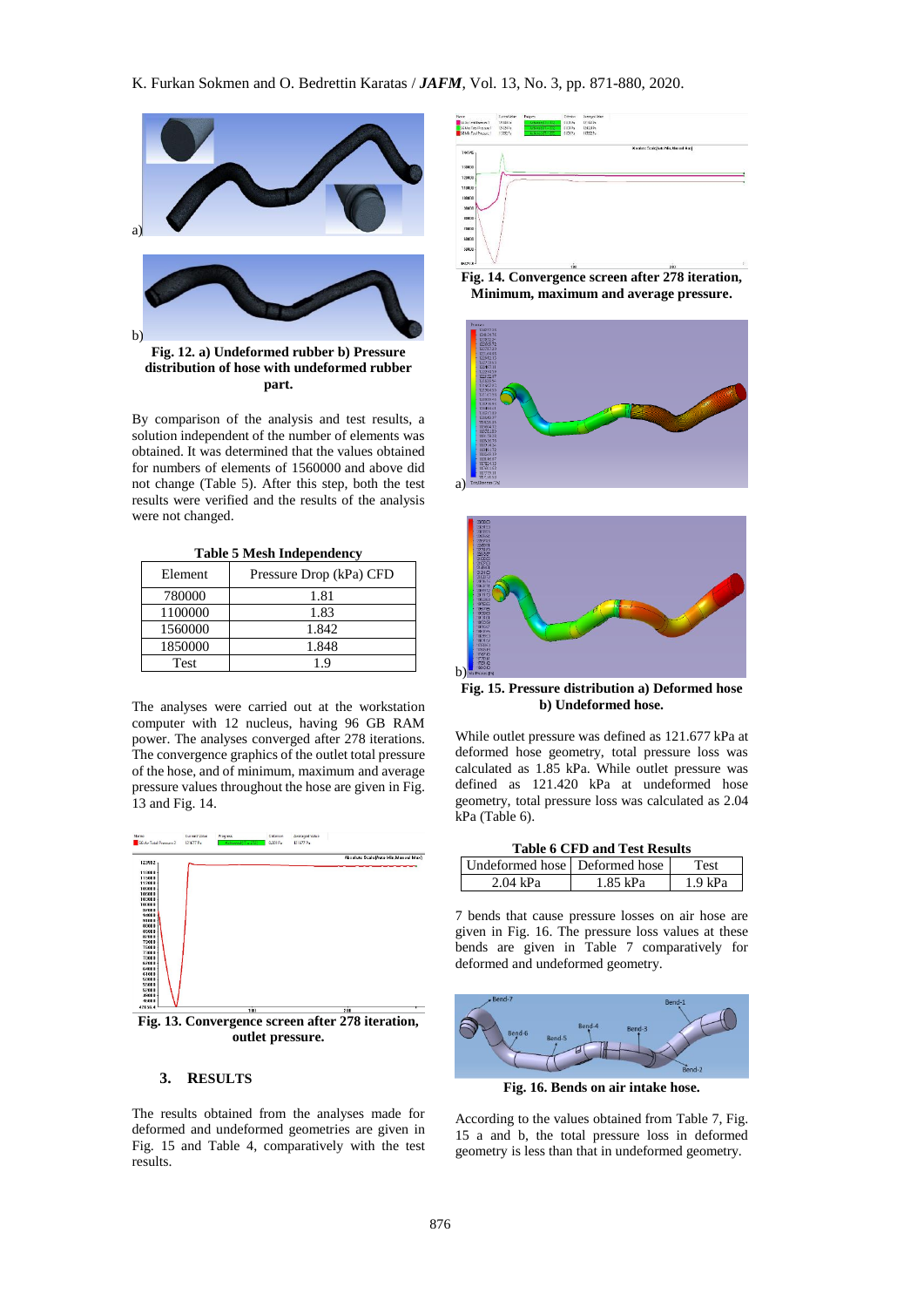

By comparison of the analysis and test results, a solution independent of the number of elements was obtained. It was determined that the values obtained for numbers of elements of 1560000 and above did not change (Table 5). After this step, both the test results were verified and the results of the analysis were not changed.

|  |  |  |  | <b>Table 5 Mesh Independency</b> |
|--|--|--|--|----------------------------------|
|--|--|--|--|----------------------------------|

| Element     | Pressure Drop (kPa) CFD |
|-------------|-------------------------|
| 780000      | 1.81                    |
| 1100000     | 1.83                    |
| 1560000     | 1.842                   |
| 1850000     | 1.848                   |
| <b>Test</b> | 1 Q                     |

The analyses were carried out at the workstation computer with 12 nucleus, having 96 GB RAM power. The analyses converged after 278 iterations. The convergence graphics of the outlet total pressure of the hose, and of minimum, maximum and average pressure values throughout the hose are given in Fig. 13 and Fig. 14.



**Fig. 13. Convergence screen after 278 iteration, outlet pressure.**

# **3. RESULTS**

The results obtained from the analyses made for deformed and undeformed geometries are given in Fig. 15 and Table 4, comparatively with the test results.



**Fig. 14. Convergence screen after 278 iteration, Minimum, maximum and average pressure.**





**Fig. 15. Pressure distribution a) Deformed hose b) Undeformed hose.**

While outlet pressure was defined as 121.677 kPa at deformed hose geometry, total pressure loss was calculated as 1.85 kPa. While outlet pressure was defined as 121.420 kPa at undeformed hose geometry, total pressure loss was calculated as 2.04 kPa (Table 6).

|  | <b>Table 6 CFD and Test Results</b> |  |  |
|--|-------------------------------------|--|--|
|  |                                     |  |  |

| Undeformed hose Deformed hose |          | Test      |
|-------------------------------|----------|-----------|
| $2.04$ kPa                    | 1.85 kPa | $1.9$ kPa |

7 bends that cause pressure losses on air hose are given in Fig. 16. The pressure loss values at these bends are given in Table 7 comparatively for deformed and undeformed geometry.



**Fig. 16. Bends on air intake hose.**

According to the values obtained from Table 7, Fig. 15 a and b, the total pressure loss in deformed geometry is less than that in undeformed geometry.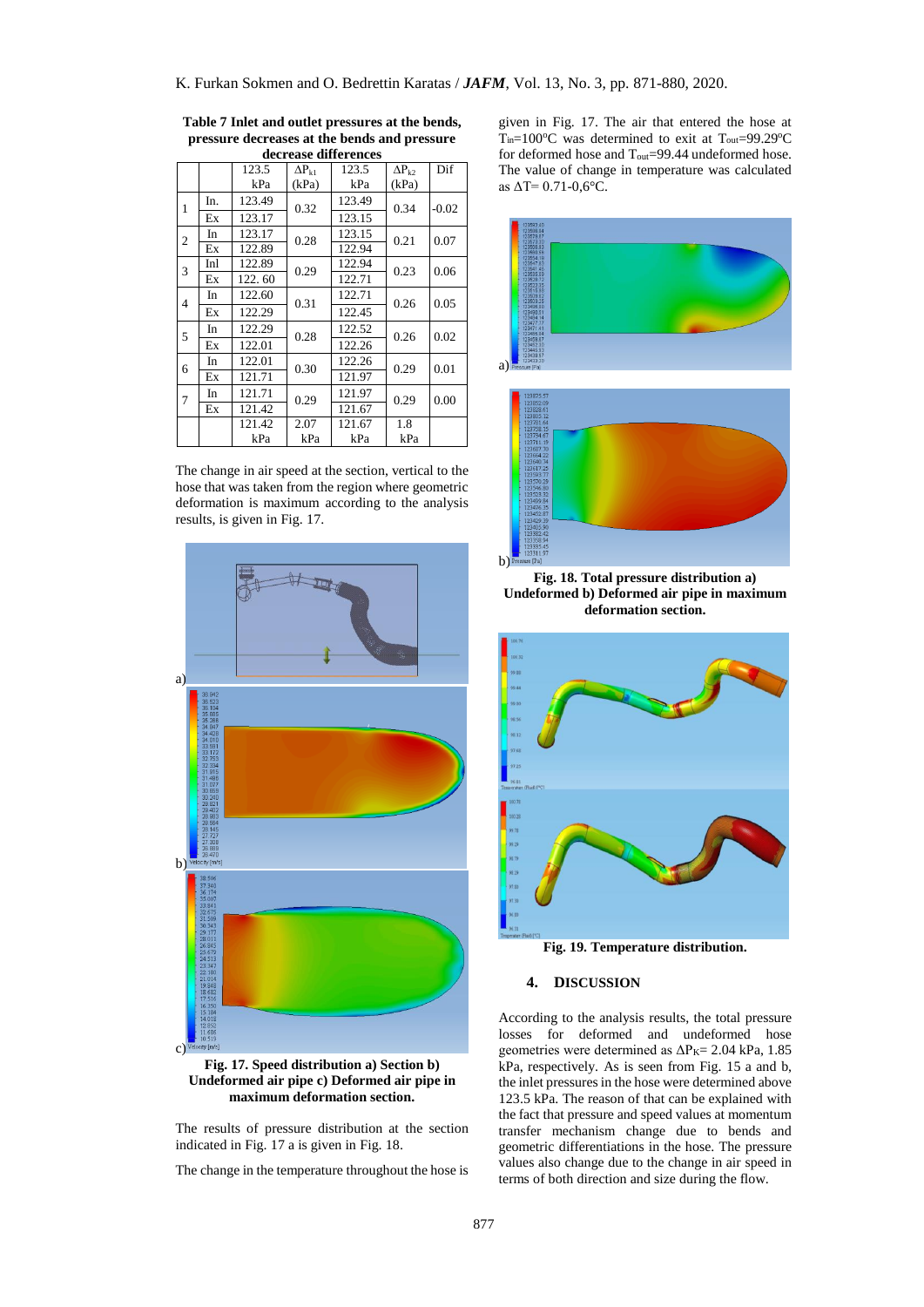|                | ucci case unici checs |        |                 |        |                 |         |
|----------------|-----------------------|--------|-----------------|--------|-----------------|---------|
|                |                       | 123.5  | $\Delta P_{k1}$ | 123.5  | $\Delta P_{k2}$ | Dif     |
|                |                       | kPa    | (kPa)           | kPa    | (kPa)           |         |
| 1              | In.                   | 123.49 | 0.32            | 123.49 | 0.34            | $-0.02$ |
|                | Ex                    | 123.17 |                 | 123.15 |                 |         |
| $\overline{c}$ | In                    | 123.17 | 0.28            | 123.15 | 0.21            | 0.07    |
|                | Ex                    | 122.89 |                 | 122.94 |                 |         |
| 3              | Inl                   | 122.89 | 0.29            | 122.94 | 0.23            | 0.06    |
|                | Ex                    | 122.60 |                 | 122.71 |                 |         |
| $\overline{4}$ | In                    | 122.60 | 0.31            | 122.71 | 0.26            | 0.05    |
|                | Ex                    | 122.29 |                 | 122.45 |                 |         |
| 5              | In                    | 122.29 | 0.28            | 122.52 | 0.26            | 0.02    |
|                | Ex                    | 122.01 |                 | 122.26 |                 |         |
| 6              | In                    | 122.01 | 0.30            | 122.26 | 0.29            | 0.01    |
|                | Ex                    | 121.71 |                 | 121.97 |                 |         |
| 7              | In                    | 121.71 | 0.29            | 121.97 | 0.29            | 0.00    |
|                | Ex                    | 121.42 |                 | 121.67 |                 |         |
|                |                       | 121.42 | 2.07            | 121.67 | 1.8             |         |
|                |                       | kPa    | kPa             | kPa    | kPa             |         |

**Table 7 Inlet and outlet pressures at the bends, pressure decreases at the bends and pressure decrease differences**

The change in air speed at the section, vertical to the hose that was taken from the region where geometric deformation is maximum according to the analysis results, is given in Fig. 17.



**Fig. 17. Speed distribution a) Section b) Undeformed air pipe c) Deformed air pipe in maximum deformation section.**

The results of pressure distribution at the section indicated in Fig. 17 a is given in Fig. 18.

The change in the temperature throughout the hose is

given in Fig. 17. The air that entered the hose at  $T_{in}=100^{\circ}$ C was determined to exit at  $T_{out}=99.29^{\circ}$ C for deformed hose and Tout=99.44 undeformed hose. The value of change in temperature was calculated as  $ΔT= 0.71-0,6°C$ .





**Fig. 18. Total pressure distribution a) Undeformed b) Deformed air pipe in maximum deformation section.**



**Fig. 19. Temperature distribution.**

## **4. DISCUSSION**

According to the analysis results, the total pressure losses for deformed and undeformed hose geometries were determined as  $\Delta P_K$ = 2.04 kPa, 1.85 kPa, respectively. As is seen from Fig. 15 a and b, the inlet pressures in the hose were determined above 123.5 kPa. The reason of that can be explained with the fact that pressure and speed values at momentum transfer mechanism change due to bends and geometric differentiations in the hose. The pressure values also change due to the change in air speed in terms of both direction and size during the flow.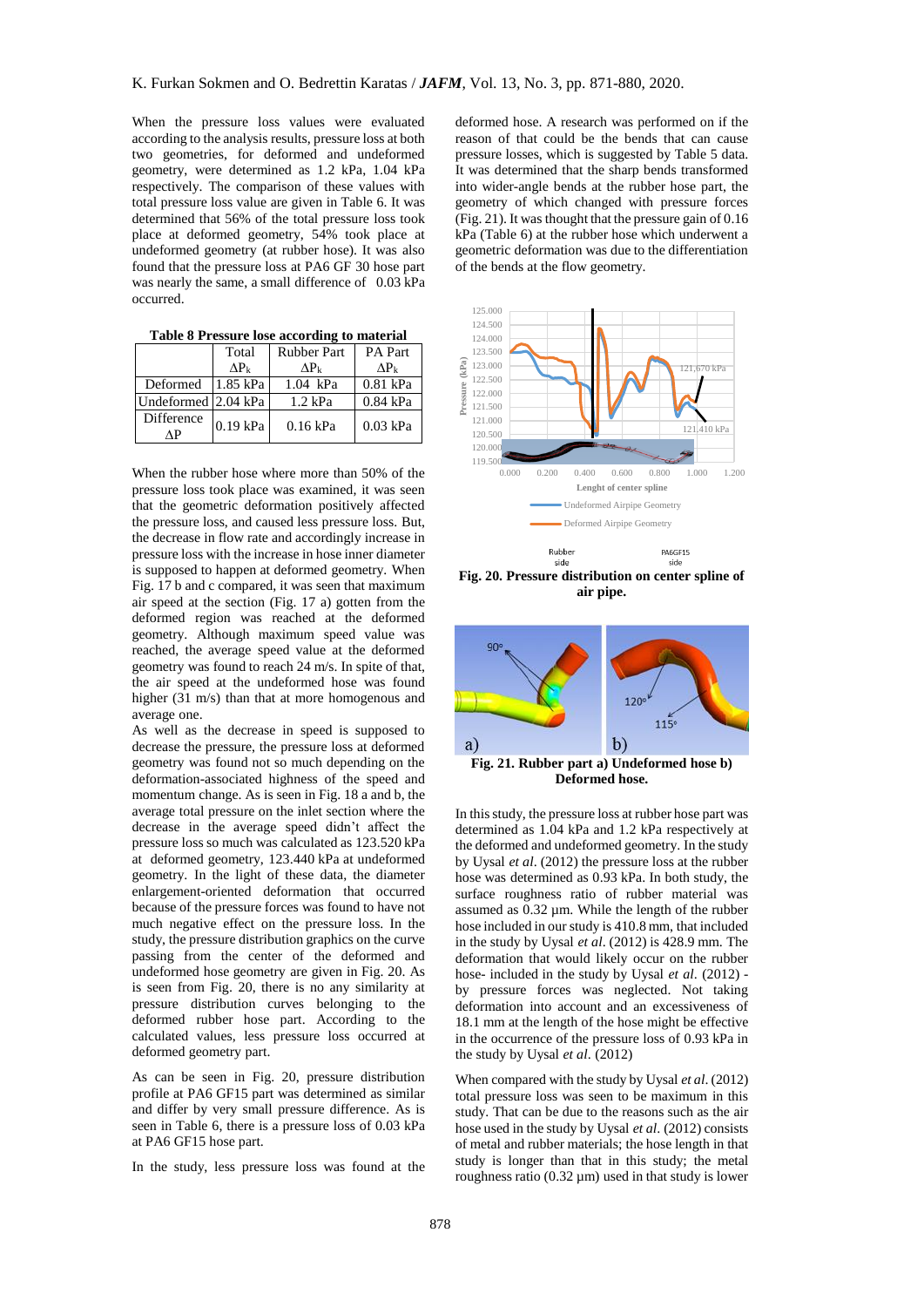When the pressure loss values were evaluated according to the analysis results, pressure loss at both two geometries, for deformed and undeformed geometry, were determined as 1.2 kPa, 1.04 kPa respectively. The comparison of these values with total pressure loss value are given in Table 6. It was determined that 56% of the total pressure loss took place at deformed geometry, 54% took place at undeformed geometry (at rubber hose). It was also found that the pressure loss at PA6 GF 30 hose part was nearly the same, a small difference of 0.03 kPa occurred.

| Table 8 Pressure lose according to material |     |                             |     |  |  |
|---------------------------------------------|-----|-----------------------------|-----|--|--|
|                                             |     | Total Rubber Part   PA Part |     |  |  |
|                                             | AD. | AD.                         | AD. |  |  |

|                     | i otal             | NUVUEL FAIL  | га ган       |
|---------------------|--------------------|--------------|--------------|
|                     | $\Delta P_{\rm k}$ | $\Delta P_k$ | $\Delta P_k$ |
| Deformed            | 1.85 kPa           | $1.04$ kPa   | $0.81$ kPa   |
| Undeformed 2.04 kPa |                    | $1.2$ kPa    | $0.84$ kPa   |
| Difference<br>٨P    | $0.19$ kPa         | $0.16$ kPa   | $0.03$ kPa   |

When the rubber hose where more than 50% of the pressure loss took place was examined, it was seen that the geometric deformation positively affected the pressure loss, and caused less pressure loss. But, the decrease in flow rate and accordingly increase in pressure loss with the increase in hose inner diameter is supposed to happen at deformed geometry. When Fig. 17 b and c compared, it was seen that maximum air speed at the section (Fig. 17 a) gotten from the deformed region was reached at the deformed geometry. Although maximum speed value was reached, the average speed value at the deformed geometry was found to reach 24 m/s. In spite of that, the air speed at the undeformed hose was found higher (31 m/s) than that at more homogenous and average one.

As well as the decrease in speed is supposed to decrease the pressure, the pressure loss at deformed geometry was found not so much depending on the deformation-associated highness of the speed and momentum change. As is seen in Fig. 18 a and b, the average total pressure on the inlet section where the decrease in the average speed didn't affect the pressure loss so much was calculated as 123.520 kPa at deformed geometry, 123.440 kPa at undeformed geometry. In the light of these data, the diameter enlargement-oriented deformation that occurred because of the pressure forces was found to have not much negative effect on the pressure loss. In the study, the pressure distribution graphics on the curve passing from the center of the deformed and undeformed hose geometry are given in Fig. 20. As is seen from Fig. 20, there is no any similarity at pressure distribution curves belonging to the deformed rubber hose part. According to the calculated values, less pressure loss occurred at deformed geometry part.

As can be seen in Fig. 20, pressure distribution profile at PA6 GF15 part was determined as similar and differ by very small pressure difference. As is seen in Table 6, there is a pressure loss of 0.03 kPa at PA6 GF15 hose part.

In the study, less pressure loss was found at the

deformed hose. A research was performed on if the reason of that could be the bends that can cause pressure losses, which is suggested by Table 5 data. It was determined that the sharp bends transformed into wider-angle bends at the rubber hose part, the geometry of which changed with pressure forces (Fig. 21). It was thought that the pressure gain of 0.16 kPa (Table 6) at the rubber hose which underwent a geometric deformation was due to the differentiation of the bends at the flow geometry.



**Fig. 20. Pressure distribution on center spline of air pipe.**



In this study, the pressure loss at rubber hose part was determined as 1.04 kPa and 1.2 kPa respectively at the deformed and undeformed geometry. In the study by Uysal *et al*. (2012) the pressure loss at the rubber hose was determined as 0.93 kPa. In both study, the surface roughness ratio of rubber material was assumed as 0.32 µm. While the length of the rubber hose included in our study is 410.8 mm, that included in the study by Uysal *et al*. (2012) is 428.9 mm. The deformation that would likely occur on the rubber hose- included in the study by Uysal *et al*. (2012) by pressure forces was neglected. Not taking deformation into account and an excessiveness of 18.1 mm at the length of the hose might be effective in the occurrence of the pressure loss of 0.93 kPa in the study by Uysal *et al*. (2012)

When compared with the study by Uysal *et al*. (2012) total pressure loss was seen to be maximum in this study. That can be due to the reasons such as the air hose used in the study by Uysal *et al*. (2012) consists of metal and rubber materials; the hose length in that study is longer than that in this study; the metal roughness ratio  $(0.32 \mu m)$  used in that study is lower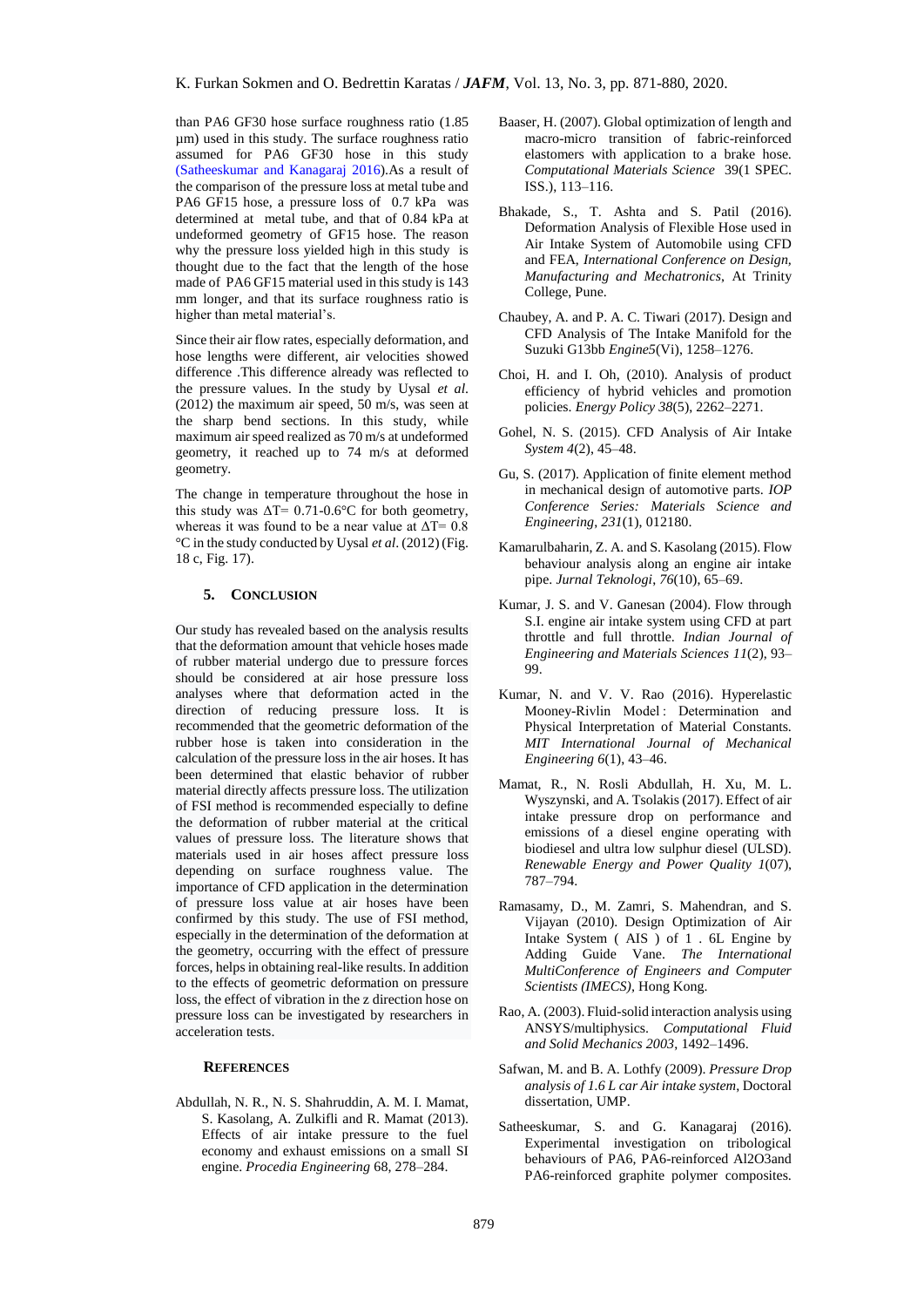K. Furkan Sokmen and O. Bedrettin Karatas / *JAFM*, Vol. 13, No. 3, pp. 871-880, 2020.

than PA6 GF30 hose surface roughness ratio (1.85 µm) used in this study. The surface roughness ratio assumed for PA6 GF30 hose in this study [\(Satheeskumar and Kanagaraj](#page-8-14) 2016).As a result of the comparison of the pressure loss at metal tube and PA6 GF15 hose, a pressure loss of 0.7 kPa was determined at metal tube, and that of 0.84 kPa at undeformed geometry of GF15 hose. The reason why the pressure loss yielded high in this study is thought due to the fact that the length of the hose made of PA6 GF15 material used in this study is 143 mm longer, and that its surface roughness ratio is higher than metal material's.

Since their air flow rates, especially deformation, and hose lengths were different, air velocities showed difference .This difference already was reflected to the pressure values. In the study by Uysal *et al*. (2012) the maximum air speed, 50 m/s, was seen at the sharp bend sections. In this study, while maximum air speed realized as 70 m/s at undeformed geometry, it reached up to 74 m/s at deformed geometry.

The change in temperature throughout the hose in this study was  $\Delta T = 0.71$ -0.6°C for both geometry, whereas it was found to be a near value at  $\Delta T = 0.8$ °C in the study conducted by Uysal *et al*. (2012) (Fig. 18 c, Fig. 17).

## **5. CONCLUSION**

Our study has revealed based on the analysis results that the deformation amount that vehicle hoses made of rubber material undergo due to pressure forces should be considered at air hose pressure loss analyses where that deformation acted in the direction of reducing pressure loss. It is recommended that the geometric deformation of the rubber hose is taken into consideration in the calculation of the pressure loss in the air hoses. It has been determined that elastic behavior of rubber material directly affects pressure loss. The utilization of FSI method is recommended especially to define the deformation of rubber material at the critical values of pressure loss. The literature shows that materials used in air hoses affect pressure loss depending on surface roughness value. The importance of CFD application in the determination of pressure loss value at air hoses have been confirmed by this study. The use of FSI method, especially in the determination of the deformation at the geometry, occurring with the effect of pressure forces, helps in obtaining real-like results. In addition to the effects of geometric deformation on pressure loss, the effect of vibration in the z direction hose on pressure loss can be investigated by researchers in acceleration tests.

### **REFERENCES**

<span id="page-8-0"></span>Abdullah, N. R., N. S. Shahruddin, A. M. I. Mamat, S. Kasolang, A. Zulkifli and R. Mamat (2013). Effects of air intake pressure to the fuel economy and exhaust emissions on a small SI engine. *Procedia Engineering* 68, 278–284.

- <span id="page-8-2"></span>Baaser, H. (2007). Global optimization of length and macro-micro transition of fabric-reinforced elastomers with application to a brake hose. *Computational Materials Science* 39(1 SPEC. ISS.), 113–116.
- <span id="page-8-10"></span>Bhakade, S., T. Ashta and S. Patil (2016). Deformation Analysis of Flexible Hose used in Air Intake System of Automobile using CFD and FEA, *International Conference on Design, Manufacturing and Mechatronics*, At Trinity College, Pune.
- <span id="page-8-9"></span>Chaubey, A. and P. A. C. Tiwari (2017). Design and CFD Analysis of The Intake Manifold for the Suzuki G13bb *Engine5*(Vi), 1258–1276.
- <span id="page-8-7"></span>Choi, H. and I. Oh, (2010). Analysis of product efficiency of hybrid vehicles and promotion policies. *Energy Policy 38*(5), 2262–2271.
- <span id="page-8-5"></span>Gohel, N. S. (2015). CFD Analysis of Air Intake *System 4*(2), 45–48.
- <span id="page-8-4"></span>Gu, S. (2017). Application of finite element method in mechanical design of automotive parts. *IOP Conference Series: Materials Science and Engineering*, *231*(1), 012180.
- <span id="page-8-8"></span>Kamarulbaharin, Z. A. and S. Kasolang (2015). Flow behaviour analysis along an engine air intake pipe. *Jurnal Teknologi*, *76*(10), 65–69.
- <span id="page-8-11"></span>Kumar, J. S. and V. Ganesan (2004). Flow through S.I. engine air intake system using CFD at part throttle and full throttle. *Indian Journal of Engineering and Materials Sciences 11*(2), 93– 99.
- <span id="page-8-13"></span>Kumar, N. and V. V. Rao (2016). Hyperelastic Mooney-Rivlin Model : Determination and Physical Interpretation of Material Constants. *MIT International Journal of Mechanical Engineering 6*(1), 43–46.
- <span id="page-8-1"></span>Mamat, R., N. Rosli Abdullah, H. Xu, M. L. Wyszynski, and A. Tsolakis (2017). Effect of air intake pressure drop on performance and emissions of a diesel engine operating with biodiesel and ultra low sulphur diesel (ULSD). *Renewable Energy and Power Quality 1*(07), 787–794.
- <span id="page-8-3"></span>Ramasamy, D., M. Zamri, S. Mahendran, and S. Vijayan (2010). Design Optimization of Air Intake System ( AIS ) of 1 . 6L Engine by Adding Guide Vane. *The International MultiConference of Engineers and Computer Scientists (IMECS),* Hong Kong.
- <span id="page-8-12"></span>Rao, A. (2003). Fluid-solid interaction analysis using ANSYS/multiphysics. *Computational Fluid and Solid Mechanics 2003*, 1492–1496.
- <span id="page-8-6"></span>Safwan, M. and B. A. Lothfy (2009). *Pressure Drop analysis of 1.6 L car Air intake system*, Doctoral dissertation, UMP.
- <span id="page-8-14"></span>Satheeskumar, S. and G. Kanagaraj (2016). Experimental investigation on tribological behaviours of PA6, PA6-reinforced Al2O3and PA6-reinforced graphite polymer composites.